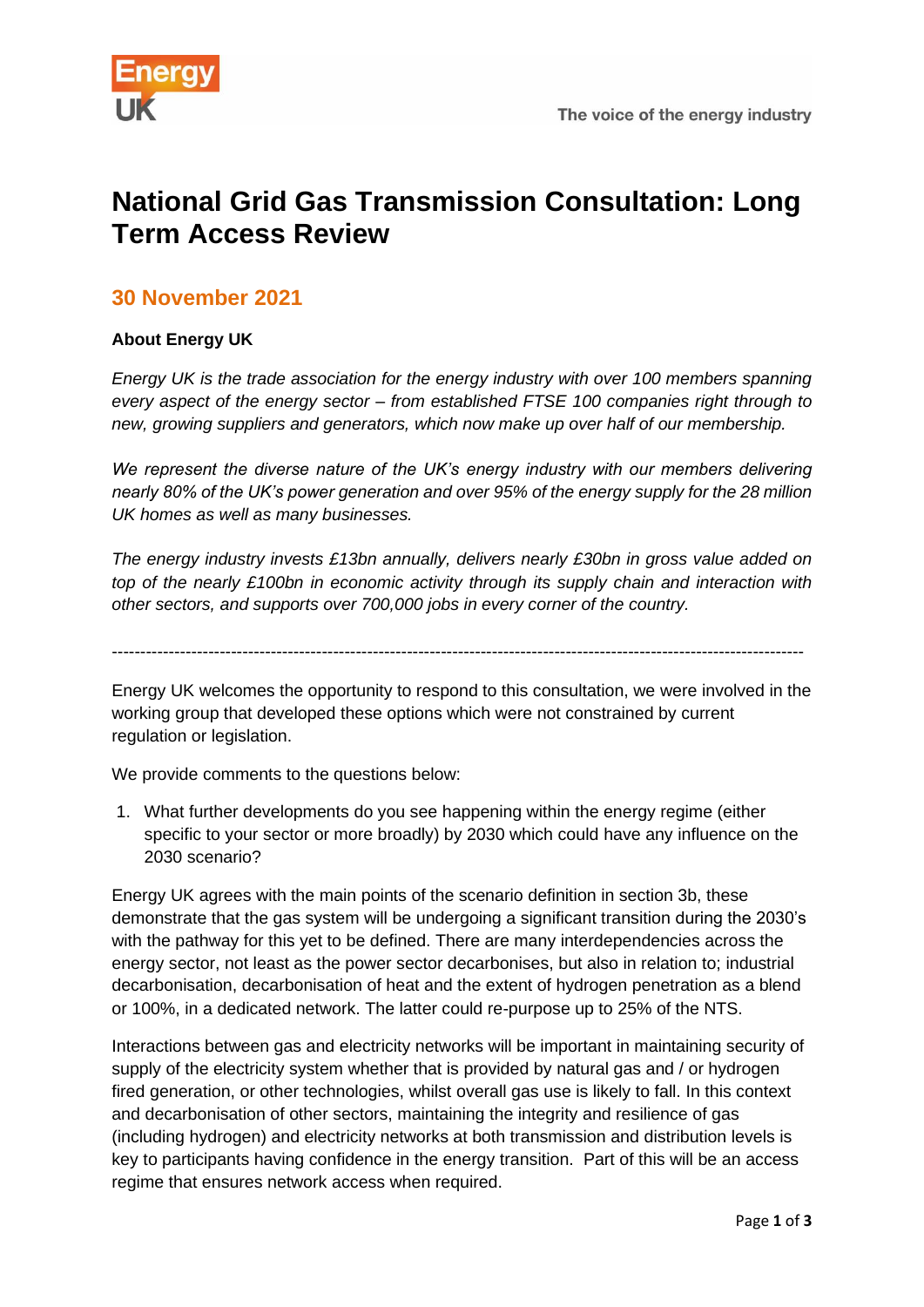

## **National Grid Gas Transmission Consultation: Long Term Access Review**

## **30 November 2021**

## **About Energy UK**

*Energy UK is the trade association for the energy industry with over 100 members spanning every aspect of the energy sector – from established FTSE 100 companies right through to new, growing suppliers and generators, which now make up over half of our membership.*

*We represent the diverse nature of the UK's energy industry with our members delivering nearly 80% of the UK's power generation and over 95% of the energy supply for the 28 million UK homes as well as many businesses.*

*The energy industry invests £13bn annually, delivers nearly £30bn in gross value added on top of the nearly £100bn in economic activity through its supply chain and interaction with other sectors, and supports over 700,000 jobs in every corner of the country.*

--------------------------------------------------------------------------------------------------------------------------

Energy UK welcomes the opportunity to respond to this consultation, we were involved in the working group that developed these options which were not constrained by current regulation or legislation.

We provide comments to the questions below:

1. What further developments do you see happening within the energy regime (either specific to your sector or more broadly) by 2030 which could have any influence on the 2030 scenario?

Energy UK agrees with the main points of the scenario definition in section 3b, these demonstrate that the gas system will be undergoing a significant transition during the 2030's with the pathway for this yet to be defined. There are many interdependencies across the energy sector, not least as the power sector decarbonises, but also in relation to; industrial decarbonisation, decarbonisation of heat and the extent of hydrogen penetration as a blend or 100%, in a dedicated network. The latter could re-purpose up to 25% of the NTS.

Interactions between gas and electricity networks will be important in maintaining security of supply of the electricity system whether that is provided by natural gas and / or hydrogen fired generation, or other technologies, whilst overall gas use is likely to fall. In this context and decarbonisation of other sectors, maintaining the integrity and resilience of gas (including hydrogen) and electricity networks at both transmission and distribution levels is key to participants having confidence in the energy transition. Part of this will be an access regime that ensures network access when required.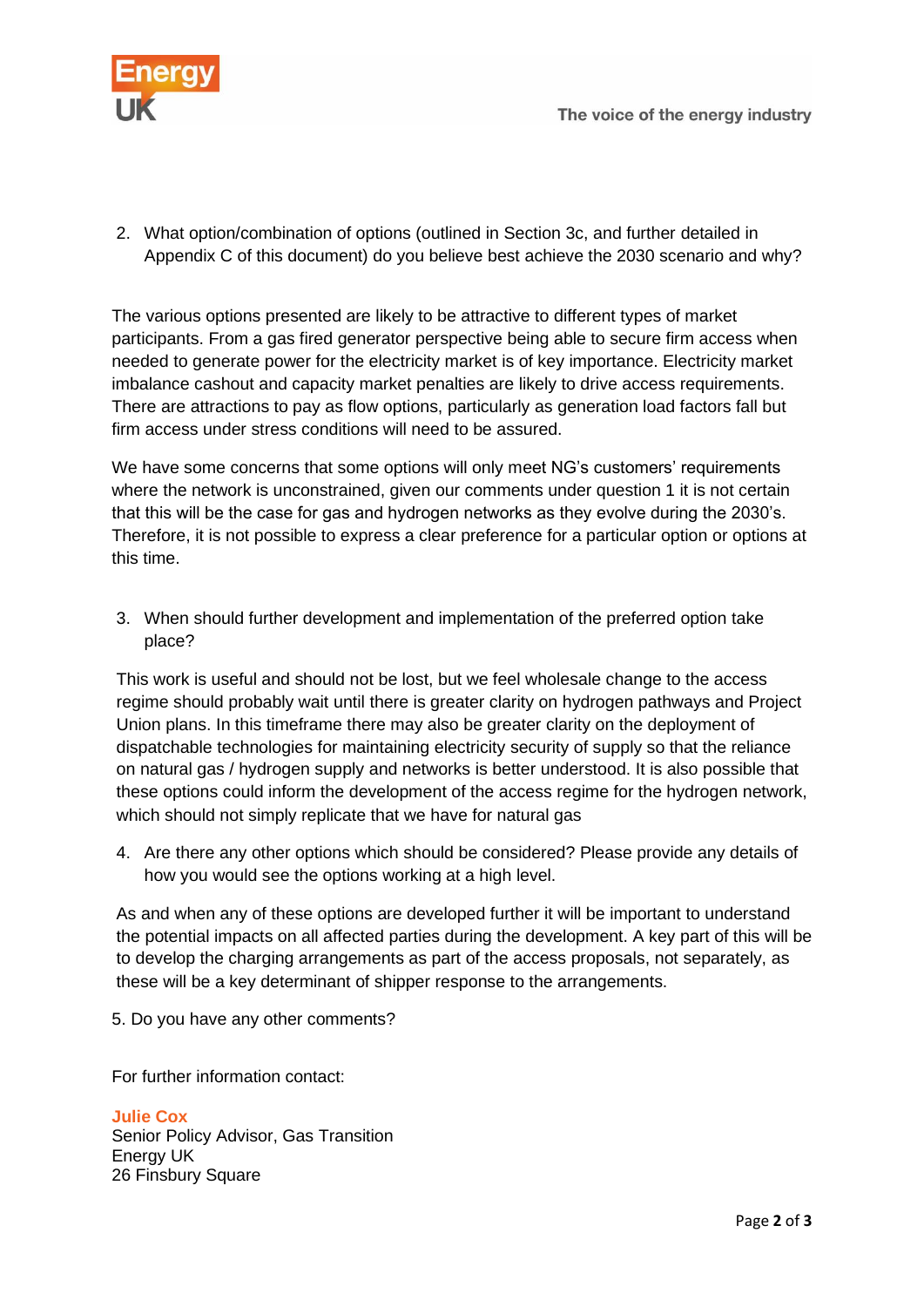

2. What option/combination of options (outlined in Section 3c, and further detailed in Appendix C of this document) do you believe best achieve the 2030 scenario and why?

The various options presented are likely to be attractive to different types of market participants. From a gas fired generator perspective being able to secure firm access when needed to generate power for the electricity market is of key importance. Electricity market imbalance cashout and capacity market penalties are likely to drive access requirements. There are attractions to pay as flow options, particularly as generation load factors fall but firm access under stress conditions will need to be assured.

We have some concerns that some options will only meet NG's customers' requirements where the network is unconstrained, given our comments under question 1 it is not certain that this will be the case for gas and hydrogen networks as they evolve during the 2030's. Therefore, it is not possible to express a clear preference for a particular option or options at this time.

3. When should further development and implementation of the preferred option take place?

This work is useful and should not be lost, but we feel wholesale change to the access regime should probably wait until there is greater clarity on hydrogen pathways and Project Union plans. In this timeframe there may also be greater clarity on the deployment of dispatchable technologies for maintaining electricity security of supply so that the reliance on natural gas / hydrogen supply and networks is better understood. It is also possible that these options could inform the development of the access regime for the hydrogen network, which should not simply replicate that we have for natural gas

4. Are there any other options which should be considered? Please provide any details of how you would see the options working at a high level.

As and when any of these options are developed further it will be important to understand the potential impacts on all affected parties during the development. A key part of this will be to develop the charging arrangements as part of the access proposals, not separately, as these will be a key determinant of shipper response to the arrangements.

5. Do you have any other comments?

For further information contact:

**Julie Cox** Senior Policy Advisor, Gas Transition Energy UK 26 Finsbury Square